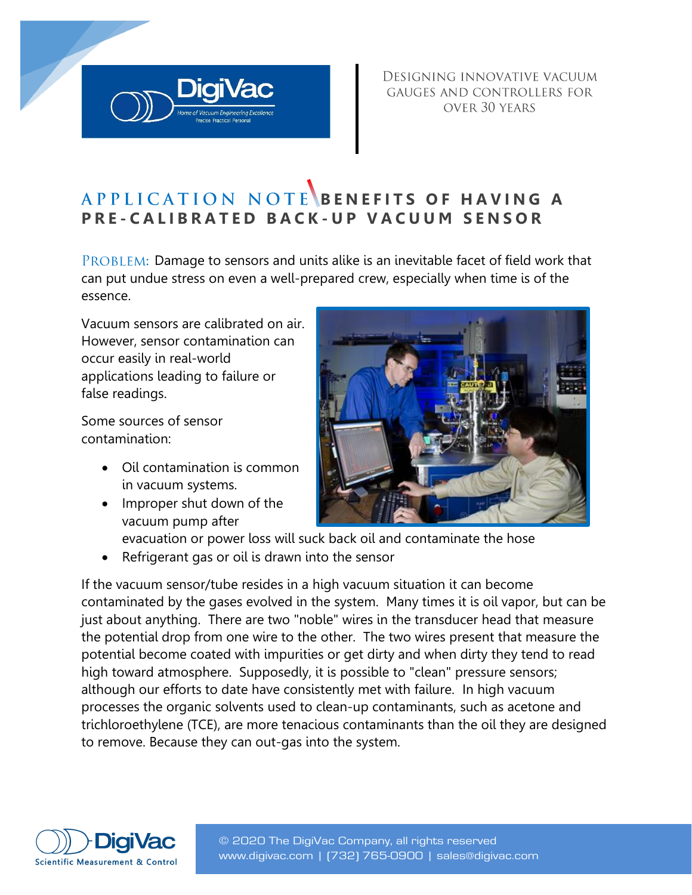DESIGNING INNOVATIVE VACUUM GAUGES AND CONTROLLERS FOR OVER 30 YEARS

# **APPLICATION NOTE BENEFITS OF HAVING A P R E - C A L I B R A T E D B A C K - U P V A C U U M S E N S O R**

PROBLEM: Damage to sensors and units alike is an inevitable facet of field work that can put undue stress on even a well-prepared crew, especially when time is of the essence.

Vacuum sensors are calibrated on air. However, sensor contamination can occur easily in real-world applications leading to failure or false readings.

Some sources of sensor contamination:

- Oil contamination is common in vacuum systems.
- Improper shut down of the vacuum pump after



- evacuation or power loss will suck back oil and contaminate the hose
- Refrigerant gas or oil is drawn into the sensor

If the vacuum sensor/tube resides in a high vacuum situation it can become contaminated by the gases evolved in the system. Many times it is oil vapor, but can be just about anything. There are two "noble" wires in the transducer head that measure the potential drop from one wire to the other. The two wires present that measure the potential become coated with impurities or get dirty and when dirty they tend to read high toward atmosphere. Supposedly, it is possible to "clean" pressure sensors; although our efforts to date have consistently met with failure. In high vacuum processes the organic solvents used to clean-up contaminants, such as acetone and trichloroethylene (TCE), are more tenacious contaminants than the oil they are designed to remove. Because they can out-gas into the system.

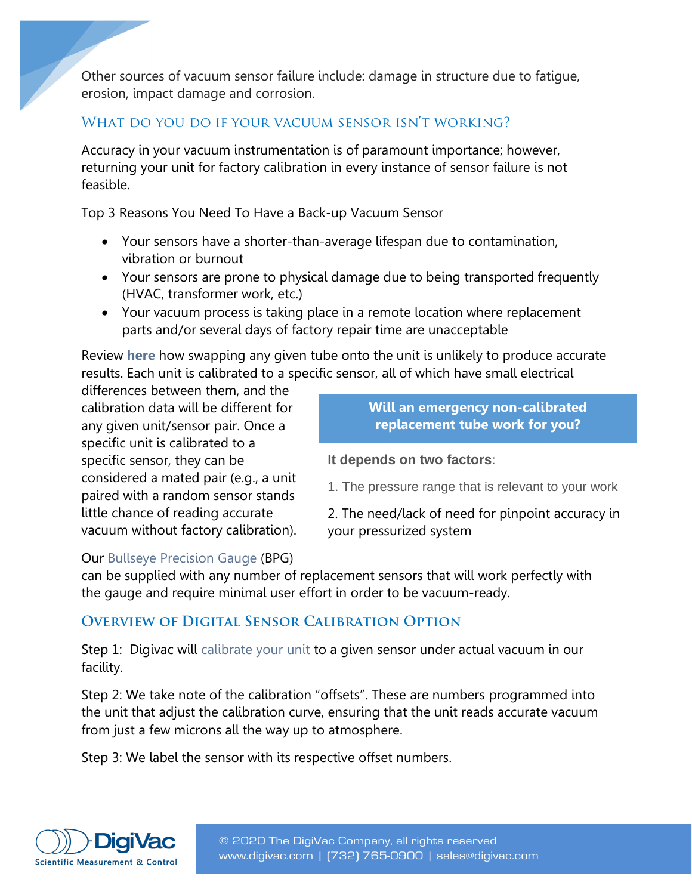Other sources of vacuum sensor failure include: damage in structure due to fatigue, erosion, impact damage and corrosion.

#### WHAT DO YOU DO IF YOUR VACUUM SENSOR ISN'T WORKING?

Accuracy in your vacuum instrumentation is of paramount importance; however, returning your unit for factory calibration in every instance of sensor failure is not feasible.

Top 3 Reasons You Need To Have a Back-up Vacuum Sensor

- Your sensors have a shorter-than-average lifespan due to contamination, vibration or burnout
- Your sensors are prone to physical damage due to being transported frequently (HVAC, transformer work, etc.)
- Your vacuum process is taking place in a remote location where replacement parts and/or several days of factory repair time are unacceptable

Review **[here](http://blog.digivac.com/non-calibrated-thermocouple-tube-accuracy)** how swapping any given tube onto the unit is unlikely to produce accurate results. Each unit is calibrated to a specific sensor, all of which have small electrical

differences between them, and the calibration data will be different for any given unit/sensor pair. Once a specific unit is calibrated to a specific sensor, they can be considered a mated pair (e.g., a unit paired with a random sensor stands little chance of reading accurate vacuum without factory calibration).

**Will an emergency non-calibrated replacement tube work for you?**

**It depends on two factors**:

1. The pressure range that is relevant to your work

2. The need/lack of need for pinpoint accuracy in your pressurized system

#### Our [Bullseye Precision Gauge](http://www.digivac.com/product/bullseye-precision-gauge/) (BPG)

can be supplied with any number of replacement sensors that will work perfectly with the gauge and require minimal user effort in order to be vacuum-ready.

### **OVERVIEW OF DIGITAL SENSOR CALIBRATION OPTION**

Step 1: Digivac will [calibrate your unit](http://www.digivac.com/question/calibration-procedure/) to a given sensor under actual vacuum in our facility.

Step 2: We take note of the calibration "offsets". These are numbers programmed into the unit that adjust the calibration curve, ensuring that the unit reads accurate vacuum from just a few microns all the way up to atmosphere.

Step 3: We label the sensor with its respective offset numbers.

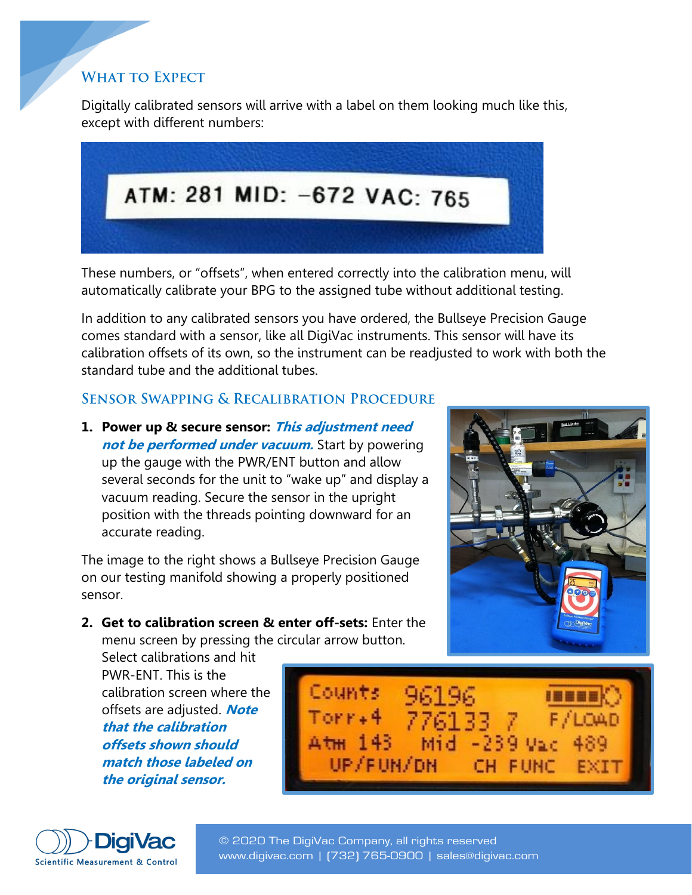## **WHAT TO EXPECT**

Digitally calibrated sensors will arrive with a label on them looking much like this, except with different numbers:



These numbers, or "offsets", when entered correctly into the calibration menu, will automatically calibrate your BPG to the assigned tube without additional testing.

In addition to any calibrated sensors you have ordered, the Bullseye Precision Gauge comes standard with a sensor, like all DigiVac instruments. This sensor will have its calibration offsets of its own, so the instrument can be readjusted to work with both the standard tube and the additional tubes.

#### **SENSOR SWAPPING & RECALIBRATION PROCEDURE**

**1. Power up & secure sensor: This adjustment need not be performed under vacuum.** Start by powering up the gauge with the PWR/ENT button and allow several seconds for the unit to "wake up" and display a vacuum reading. Secure the sensor in the upright position with the threads pointing downward for an accurate reading.

The image to the right shows a Bullseye Precision Gauge on our testing manifold showing a properly positioned sensor.

**2. Get to calibration screen & enter off-sets:** Enter the menu screen by pressing the circular arrow button.

Select calibrations and hit PWR-ENT. This is the calibration screen where the offsets are adjusted. **Note that the calibration offsets shown should match those labeled on the original sensor.**







© 2020 The DigiVac Company, all rights reserved www.digivac.com | ([732\) 765-0900 | sales@digiv](mailto:sales@digivac.com)a[c.com](http://www.digivac.com/)